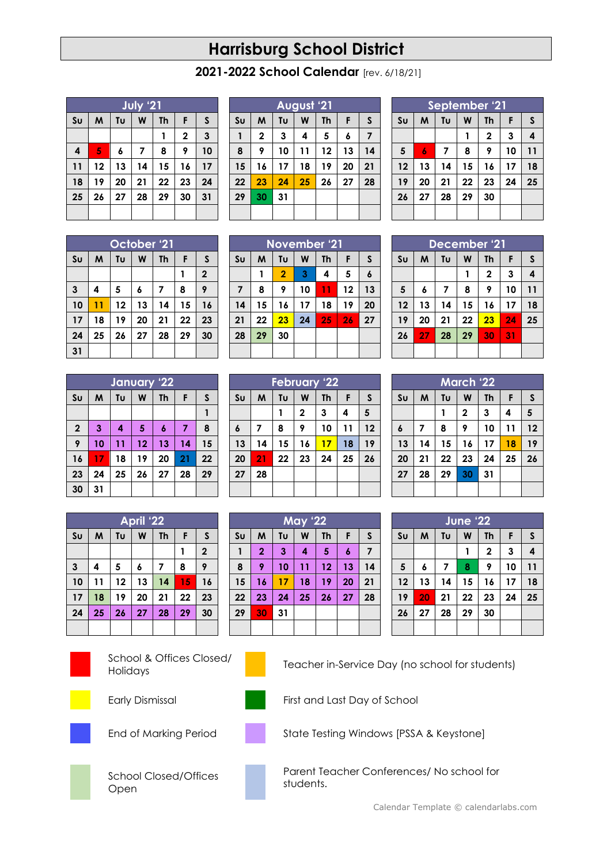## **Harrisburg School District**

**2021-2022 School Calendar** [rev. 6/18/21]

| July '21       |                                |    |    |    |              |    |  |
|----------------|--------------------------------|----|----|----|--------------|----|--|
| S <sub>U</sub> | Tυ<br>W<br>M<br>F<br><b>Th</b> |    |    |    |              |    |  |
|                |                                |    |    | 1  | $\mathbf{2}$ | 3  |  |
| 4              | 5                              | 6  | 7  | 8  | 9            | 10 |  |
| 11             | 12                             | 13 | 14 | 15 | 16           | 17 |  |
| 18             | 19                             | 20 | 21 | 22 | 23           | 24 |  |
| 25             | 26                             | 27 | 28 | 29 | 30           | 31 |  |
|                |                                |    |    |    |              |    |  |

| August '21     |                                                |    |    |    |    |    |  |  |
|----------------|------------------------------------------------|----|----|----|----|----|--|--|
| S <sub>U</sub> | W<br>Tυ<br>F<br><b>Th</b><br>M<br>$\mathsf{s}$ |    |    |    |    |    |  |  |
| $\mathbf{1}$   | $\mathbf 2$                                    | 3  | 4  | 5  | 6  | 7  |  |  |
| 8              | 9                                              | 10 | 11 | 12 | 13 | 14 |  |  |
| 15             | 16                                             | 17 | 18 | 19 | 20 | 21 |  |  |
| 22             | 23                                             | 24 | 25 | 26 | 27 | 28 |  |  |
| 29             | 30                                             | 31 |    |    |    |    |  |  |
|                |                                                |    |    |    |    |    |  |  |

**November '21**  $\text{SU}$   $\mid$  M  $\mid$  Tu  $\mid$  W  $\mid$  Th  $\mid$  F  $\mid$  S **2 3 4 5 6 8 9 10 11 12 13 15 16 17 18 19 20 22 23 24 25 26 27**

**February '22**  $\mathbf{S} \mathbf{u}$  | **M** | **Tu** | **W** | **Th** | **F** | **S** 

 **7 8 9 10 11 12 14 15 16 17 18 19 21 22 23 24 25 26**

**May '22**  $\text{SU}$   $\mid$  M  $\mid$  Tu  $\mid$  W  $\mid$  Th  $\mid$  F  $\mid$  S **2 3 4 5 6 7 9 10 11 12 13 14 16 17 18 19 20 21 23 24 25 26 27 28**

**2 3 4 5**

**29 30**

**28**

| September '21                                         |    |                         |    |              |    |    |  |  |
|-------------------------------------------------------|----|-------------------------|----|--------------|----|----|--|--|
| M<br>Tυ<br><b>Th</b><br>S <sub>U</sub><br>W<br>S<br>F |    |                         |    |              |    |    |  |  |
|                                                       |    |                         |    | $\mathbf{2}$ | 3  | 4  |  |  |
| 5                                                     | 6  | $\overline{\mathbf{z}}$ | 8  | 9            | 10 | 11 |  |  |
| 12                                                    | 13 | 14                      | 15 | 16           | 17 | 18 |  |  |
| 19                                                    | 20 | 21                      | 22 | 23           | 24 | 25 |  |  |
| 26                                                    | 27 | 28                      | 29 | 30           |    |    |  |  |
|                                                       |    |                         |    |              |    |    |  |  |

|                | October '21                                    |    |    |    |    |             |  |
|----------------|------------------------------------------------|----|----|----|----|-------------|--|
| S <sub>U</sub> | Tυ<br>F<br>M<br>W<br>$\mathsf{s}$<br><b>Th</b> |    |    |    |    |             |  |
|                |                                                |    |    |    | 1  | $\mathbf 2$ |  |
| $\mathbf{3}$   | 4                                              | 5  | 6  | 7  | 8  | 9           |  |
| 10             | 11                                             | 12 | 13 | 14 | 15 | 16          |  |
| 17             | 18                                             | 19 | 20 | 21 | 22 | 23          |  |
| 24             | 25                                             | 26 | 27 | 28 | 29 | 30          |  |
| 31             |                                                |    |    |    |    |             |  |

|                         | January '22                         |                         |    |    |                |    |  |  |
|-------------------------|-------------------------------------|-------------------------|----|----|----------------|----|--|--|
| S <sub>U</sub>          | Tυ<br>F<br>W<br>S<br>M<br><b>Th</b> |                         |    |    |                |    |  |  |
|                         |                                     |                         |    |    |                |    |  |  |
| $\overline{\mathbf{2}}$ | 3                                   | $\overline{\mathbf{4}}$ | 5  | 6  | $\overline{7}$ | 8  |  |  |
| 9                       | 10                                  | 11                      | 12 | 13 | 14             | 15 |  |  |
| 16                      | 17                                  | 18                      | 19 | 20 | 21             | 22 |  |  |
| 23                      | 24                                  | 25                      | 26 | 27 | 28             | 29 |  |  |
| 30                      | 31                                  |                         |    |    |                |    |  |  |

| <b>April '22</b>        |                                                |    |    |    |    |              |  |
|-------------------------|------------------------------------------------|----|----|----|----|--------------|--|
| S <sub>U</sub>          | F<br>W<br><b>Th</b><br>M<br>$\mathsf{s}$<br>Tυ |    |    |    |    |              |  |
|                         |                                                |    |    |    |    | $\mathbf{2}$ |  |
| $\overline{\mathbf{3}}$ | 4                                              | 5  | 6  | 7  | 8  | 9            |  |
| 10                      | 11                                             | 12 | 13 | 14 | 15 | 16           |  |
| 17                      | 18                                             | 19 | 20 | 21 | 22 | 23           |  |
| 24                      | 25                                             | 26 | 27 | 28 | 29 | 30           |  |
|                         |                                                |    |    |    |    |              |  |



School & Offices Closed/





Early Dismissal First and Last Day of School





**30 31**

End of Marking Period State Testing Windows [PSSA & Keystone]



School Closed/Offices Open

Parent Teacher Conferences/ No school for students.

|  |                         |    | <b>December '21</b> |    |             |    |                           |
|--|-------------------------|----|---------------------|----|-------------|----|---------------------------|
|  | $\mathsf{S}\mathsf{u}$  | M  | Tυ                  | W  | <b>Th</b>   | F  | $\boldsymbol{\mathsf{S}}$ |
|  |                         |    |                     | 1  | $\mathbf 2$ | 3  | 4                         |
|  | $\overline{\mathbf{5}}$ | 6  | 7                   | 8  | 9           | 10 | 11                        |
|  | 12                      | 13 | 14                  | 15 | 16          | 17 | 18                        |
|  | 19                      | 20 | 21                  | 22 | 23          | 24 | 25                        |
|  | 26                      | 27 | 28                  | 29 | 30          | 31 |                           |
|  |                         |    |                     |    |             |    |                           |
|  |                         |    |                     |    |             |    |                           |

| <b>March '22</b>            |                                     |    |    |    |    |    |  |  |
|-----------------------------|-------------------------------------|----|----|----|----|----|--|--|
| S <sub>U</sub>              | Tu<br>M<br>W<br><b>Th</b><br>S<br>F |    |    |    |    |    |  |  |
| 5<br>3<br>$\mathbf{2}$<br>4 |                                     |    |    |    |    |    |  |  |
| $\boldsymbol{6}$            | 7                                   | 8  | 9  | 10 | 11 | 12 |  |  |
| 13                          | 14                                  | 15 | 16 | 17 | 18 | 19 |  |  |
| 20                          | 21                                  | 22 | 23 | 24 | 25 | 26 |  |  |
| 27                          | 28                                  | 29 | 30 | 31 |    |    |  |  |
|                             |                                     |    |    |    |    |    |  |  |

| <b>June '22</b>            |                                                |    |    |    |    |    |  |  |
|----------------------------|------------------------------------------------|----|----|----|----|----|--|--|
| S <sub>U</sub>             | F<br>Tu<br><b>Th</b><br>$\mathsf{s}$<br>W<br>M |    |    |    |    |    |  |  |
| 4<br>3<br>$\mathbf 2$<br>1 |                                                |    |    |    |    |    |  |  |
| $\overline{\mathbf{5}}$    | 6                                              | 7  | 8  | 9  | 10 | 11 |  |  |
| 12                         | 13                                             | 14 | 15 | 16 | 17 | 18 |  |  |
| 19                         | 20                                             | 21 | 22 | 23 | 24 | 25 |  |  |
| 26                         | 27                                             | 28 | 29 | 30 |    |    |  |  |
|                            |                                                |    |    |    |    |    |  |  |

Behoor & Offices Closed?<br>
Holidays Teacher in-Service Day (no school for students)



[Calendar Template](http://www.calendarlabs.com/calendar-template) © calendarlabs.com